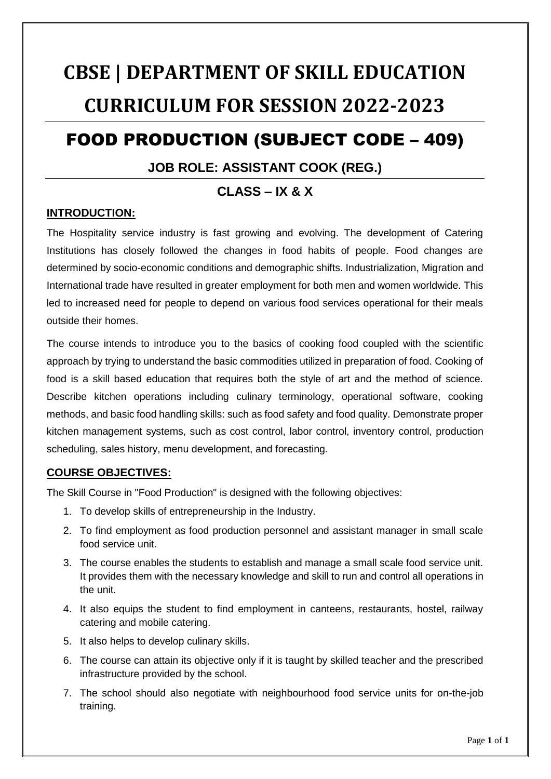# **CBSE | DEPARTMENT OF SKILL EDUCATION CURRICULUM FOR SESSION 2022-2023**

## FOOD PRODUCTION (SUBJECT CODE – 409)

### **JOB ROLE: ASSISTANT COOK (REG.)**

### **CLASS – IX & X**

### **INTRODUCTION:**

The Hospitality service industry is fast growing and evolving. The development of Catering Institutions has closely followed the changes in food habits of people. Food changes are determined by socio-economic conditions and demographic shifts. Industrialization, Migration and International trade have resulted in greater employment for both men and women worldwide. This led to increased need for people to depend on various food services operational for their meals outside their homes.

The course intends to introduce you to the basics of cooking food coupled with the scientific approach by trying to understand the basic commodities utilized in preparation of food. Cooking of food is a skill based education that requires both the style of art and the method of science. Describe kitchen operations including culinary terminology, operational software, cooking methods, and basic food handling skills: such as food safety and food quality. Demonstrate proper kitchen management systems, such as cost control, labor control, inventory control, production scheduling, sales history, menu development, and forecasting.

### **COURSE OBJECTIVES:**

The Skill Course in "Food Production" is designed with the following objectives:

- 1. To develop skills of entrepreneurship in the Industry.
- 2. To find employment as food production personnel and assistant manager in small scale food service unit.
- 3. The course enables the students to establish and manage a small scale food service unit. It provides them with the necessary knowledge and skill to run and control all operations in the unit.
- 4. It also equips the student to find employment in canteens, restaurants, hostel, railway catering and mobile catering.
- 5. It also helps to develop culinary skills.
- 6. The course can attain its objective only if it is taught by skilled teacher and the prescribed infrastructure provided by the school.
- 7. The school should also negotiate with neighbourhood food service units for on-the-job training.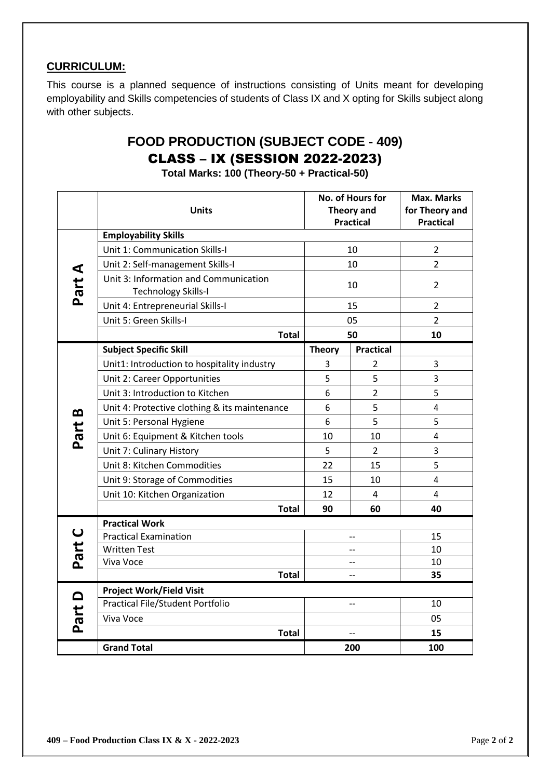### **CURRICULUM:**

This course is a planned sequence of instructions consisting of Units meant for developing employability and Skills competencies of students of Class IX and X opting for Skills subject along with other subjects.

### **FOOD PRODUCTION (SUBJECT CODE - 409)** CLASS – IX (SESSION 2022-2023)

**Total Marks: 100 (Theory-50 + Practical-50)**

|        |                                               | No. of Hours for<br><b>Theory and</b><br><b>Practical</b> |                  | <b>Max. Marks</b> |
|--------|-----------------------------------------------|-----------------------------------------------------------|------------------|-------------------|
|        | <b>Units</b>                                  |                                                           |                  | for Theory and    |
|        | <b>Employability Skills</b>                   |                                                           |                  | <b>Practical</b>  |
|        | Unit 1: Communication Skills-I                | 10                                                        |                  | $\overline{2}$    |
|        | Unit 2: Self-management Skills-I              |                                                           | 10               | $\overline{2}$    |
|        | Unit 3: Information and Communication         |                                                           |                  |                   |
| Part A | <b>Technology Skills-I</b>                    | 10                                                        |                  | $\overline{2}$    |
|        | Unit 4: Entrepreneurial Skills-I              | 15                                                        |                  | $\overline{2}$    |
|        | Unit 5: Green Skills-I                        |                                                           | 05               | $\overline{2}$    |
|        | <b>Total</b>                                  |                                                           | 50               | 10                |
|        | <b>Subject Specific Skill</b>                 | <b>Theory</b>                                             | <b>Practical</b> |                   |
|        | Unit1: Introduction to hospitality industry   | 3                                                         | $\overline{2}$   | 3                 |
|        | Unit 2: Career Opportunities                  | 5                                                         | 5                | 3                 |
|        | Unit 3: Introduction to Kitchen               |                                                           | $\overline{2}$   | 5                 |
| œ      | Unit 4: Protective clothing & its maintenance | 6                                                         | 5                | $\overline{4}$    |
|        | Unit 5: Personal Hygiene                      | 6                                                         | 5                | 5                 |
| Part   | Unit 6: Equipment & Kitchen tools             | 10                                                        | 10               | 4                 |
|        | Unit 7: Culinary History                      | 5                                                         | $\overline{2}$   | 3                 |
|        | Unit 8: Kitchen Commodities                   | 22                                                        | 15               | 5                 |
|        | Unit 9: Storage of Commodities                | 15                                                        | 10               | 4                 |
|        | Unit 10: Kitchen Organization                 | 12                                                        | $\overline{4}$   | 4                 |
|        | Total                                         | 90                                                        | 60               | 40                |
|        | <b>Practical Work</b>                         |                                                           |                  |                   |
| Part C | <b>Practical Examination</b>                  |                                                           | $-$              | 15                |
|        | <b>Written Test</b>                           | --                                                        |                  | 10                |
|        | Viva Voce                                     | $-$                                                       |                  | 10                |
|        | <b>Total</b>                                  |                                                           | $-$              | 35                |
|        | Project Work/Field Visit                      |                                                           |                  |                   |
|        | Practical File/Student Portfolio              |                                                           | --               | 10                |
| Part D | Viva Voce                                     |                                                           |                  | 05                |
|        | <b>Total</b>                                  |                                                           |                  | 15                |
|        | <b>Grand Total</b>                            |                                                           | 200              | 100               |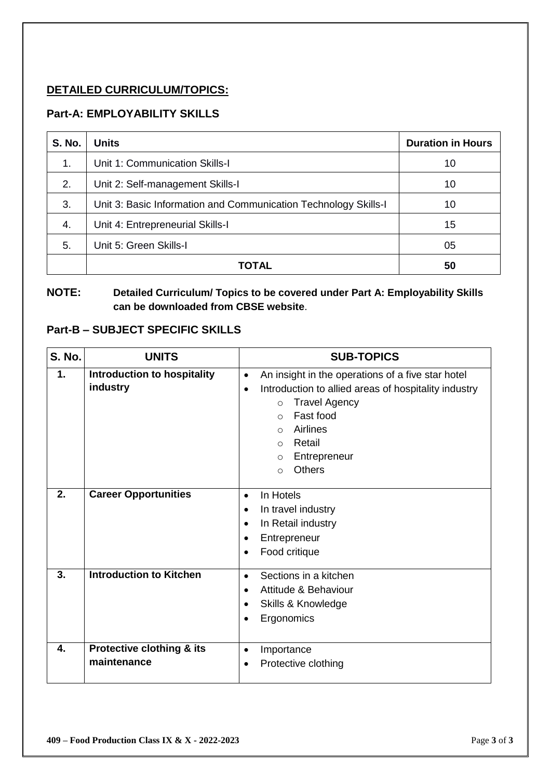### **DETAILED CURRICULUM/TOPICS:**

### **Part-A: EMPLOYABILITY SKILLS**

| <b>S. No.</b> | <b>Units</b>                                                    | <b>Duration in Hours</b> |
|---------------|-----------------------------------------------------------------|--------------------------|
| 1.            | Unit 1: Communication Skills-I                                  | 10                       |
| 2.            | Unit 2: Self-management Skills-I                                | 10                       |
| 3.            | Unit 3: Basic Information and Communication Technology Skills-I | 10                       |
| 4.            | Unit 4: Entrepreneurial Skills-I                                | 15                       |
| 5.            | Unit 5: Green Skills-I                                          | 05                       |
|               | ΤΟΤΑL                                                           | 50                       |

### **NOTE: Detailed Curriculum/ Topics to be covered under Part A: Employability Skills can be downloaded from CBSE website**.

### **Part-B – SUBJECT SPECIFIC SKILLS**

| <b>S. No.</b> | <b>UNITS</b>                             | <b>SUB-TOPICS</b>                                                                                                                                                                                                                                                                                          |
|---------------|------------------------------------------|------------------------------------------------------------------------------------------------------------------------------------------------------------------------------------------------------------------------------------------------------------------------------------------------------------|
| 1.            | Introduction to hospitality<br>industry  | An insight in the operations of a five star hotel<br>$\bullet$<br>Introduction to allied areas of hospitality industry<br>$\bullet$<br><b>Travel Agency</b><br>$\circ$<br>Fast food<br>$\Omega$<br><b>Airlines</b><br>$\circ$<br>Retail<br>$\Omega$<br>Entrepreneur<br>$\circ$<br><b>Others</b><br>$\circ$ |
| 2.            | <b>Career Opportunities</b>              | In Hotels<br>$\bullet$<br>In travel industry<br>$\bullet$<br>In Retail industry<br>$\bullet$<br>Entrepreneur<br>$\bullet$<br>Food critique<br>$\bullet$                                                                                                                                                    |
| 3.            | <b>Introduction to Kitchen</b>           | Sections in a kitchen<br>$\bullet$<br>Attitude & Behaviour<br>$\bullet$<br>Skills & Knowledge<br>$\bullet$<br>Ergonomics<br>$\bullet$                                                                                                                                                                      |
| 4.            | Protective clothing & its<br>maintenance | Importance<br>$\bullet$<br>Protective clothing<br>$\bullet$                                                                                                                                                                                                                                                |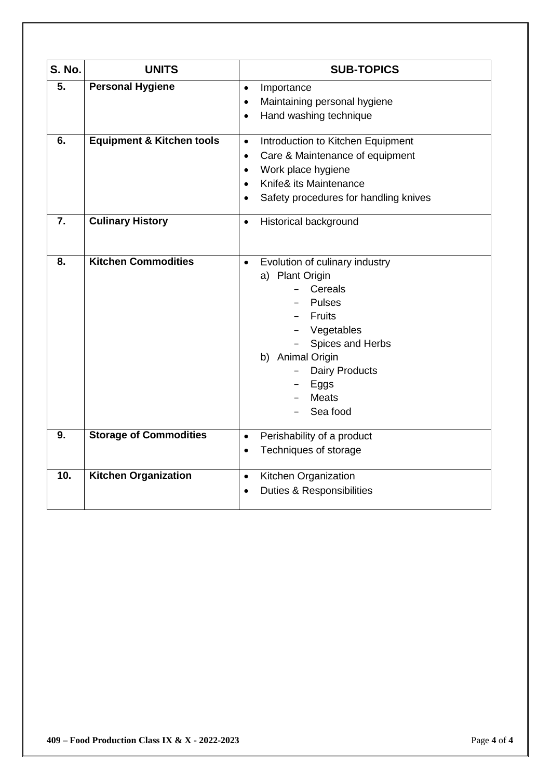| <b>S. No.</b> | <b>UNITS</b>                         | <b>SUB-TOPICS</b>                                                                                                                                                                                                              |  |
|---------------|--------------------------------------|--------------------------------------------------------------------------------------------------------------------------------------------------------------------------------------------------------------------------------|--|
| 5.            | <b>Personal Hygiene</b>              | Importance<br>$\bullet$<br>Maintaining personal hygiene<br>$\bullet$<br>Hand washing technique<br>$\bullet$                                                                                                                    |  |
| 6.            | <b>Equipment &amp; Kitchen tools</b> | Introduction to Kitchen Equipment<br>$\bullet$<br>Care & Maintenance of equipment<br>$\bullet$<br>Work place hygiene<br>$\bullet$<br>Knife& its Maintenance<br>$\bullet$<br>Safety procedures for handling knives              |  |
| 7.            | <b>Culinary History</b>              | Historical background<br>$\bullet$                                                                                                                                                                                             |  |
| 8.            | <b>Kitchen Commodities</b>           | Evolution of culinary industry<br>$\bullet$<br>a) Plant Origin<br>Cereals<br><b>Pulses</b><br><b>Fruits</b><br>Vegetables<br>Spices and Herbs<br>b) Animal Origin<br><b>Dairy Products</b><br>Eggs<br><b>Meats</b><br>Sea food |  |
| 9.            | <b>Storage of Commodities</b>        | Perishability of a product<br>$\bullet$<br>Techniques of storage                                                                                                                                                               |  |
| 10.           | <b>Kitchen Organization</b>          | Kitchen Organization<br>$\bullet$<br><b>Duties &amp; Responsibilities</b><br>$\bullet$                                                                                                                                         |  |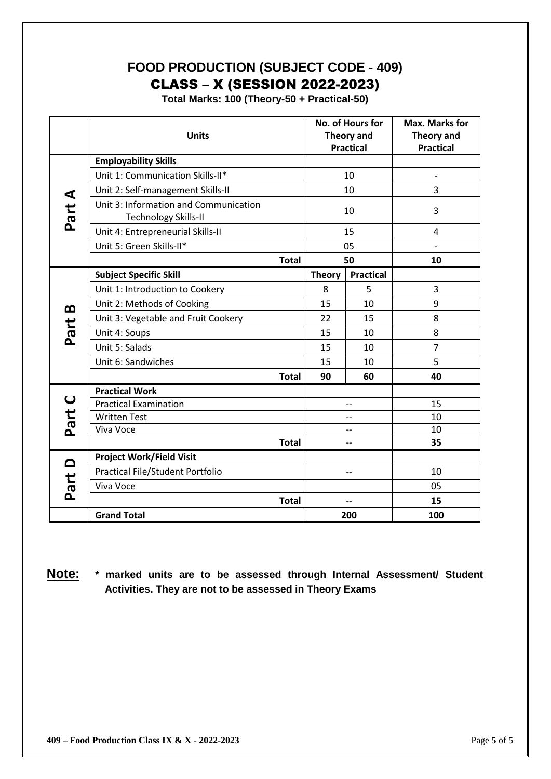### **FOOD PRODUCTION (SUBJECT CODE - 409)** CLASS – X (SESSION 2022-2023)

**Total Marks: 100 (Theory-50 + Practical-50)**

|               | <b>Units</b>                                                         |              |               | No. of Hours for<br>Theory and<br><b>Practical</b> | <b>Max. Marks for</b><br><b>Theory and</b><br><b>Practical</b> |
|---------------|----------------------------------------------------------------------|--------------|---------------|----------------------------------------------------|----------------------------------------------------------------|
|               | <b>Employability Skills</b>                                          |              |               |                                                    |                                                                |
|               | Unit 1: Communication Skills-II*                                     |              |               | 10                                                 |                                                                |
|               | Unit 2: Self-management Skills-II                                    |              |               | 10                                                 | 3                                                              |
| <b>Part A</b> | Unit 3: Information and Communication<br><b>Technology Skills-II</b> |              |               | 10                                                 | 3                                                              |
|               | Unit 4: Entrepreneurial Skills-II                                    |              | 15            |                                                    | 4                                                              |
|               | Unit 5: Green Skills-II*                                             |              | 05            |                                                    | $\overline{\phantom{0}}$                                       |
|               |                                                                      | <b>Total</b> |               | 50                                                 | 10                                                             |
|               | <b>Subject Specific Skill</b>                                        |              | <b>Theory</b> | <b>Practical</b>                                   |                                                                |
|               | Unit 1: Introduction to Cookery                                      |              | 8             | 5                                                  | 3                                                              |
| œ             | Unit 2: Methods of Cooking                                           |              | 15            | 10                                                 | 9                                                              |
|               | Unit 3: Vegetable and Fruit Cookery                                  |              | 22            | 15                                                 | 8                                                              |
| Part          | Unit 4: Soups                                                        |              | 15            | 10                                                 | 8                                                              |
|               | Unit 5: Salads                                                       |              | 15            | 10                                                 | $\overline{7}$                                                 |
|               | Unit 6: Sandwiches                                                   |              | 15            | 10                                                 | 5                                                              |
|               |                                                                      | <b>Total</b> | 90            | 60                                                 | 40                                                             |
|               | <b>Practical Work</b>                                                |              |               |                                                    |                                                                |
| $\cup$        | <b>Practical Examination</b>                                         |              |               | --                                                 | 15                                                             |
| Part          | <b>Written Test</b>                                                  |              |               | --                                                 | 10                                                             |
|               | Viva Voce                                                            |              |               | --                                                 | 10                                                             |
|               |                                                                      | <b>Total</b> |               | --                                                 | 35                                                             |
|               | <b>Project Work/Field Visit</b>                                      |              |               |                                                    |                                                                |
|               | Practical File/Student Portfolio                                     |              |               | $-$                                                | 10                                                             |
| <b>Part D</b> | Viva Voce                                                            |              |               |                                                    | 05                                                             |
|               |                                                                      | <b>Total</b> |               | $-$                                                | 15                                                             |
|               | <b>Grand Total</b>                                                   |              |               | 200                                                | 100                                                            |

**Note: \* marked units are to be assessed through Internal Assessment/ Student Activities. They are not to be assessed in Theory Exams**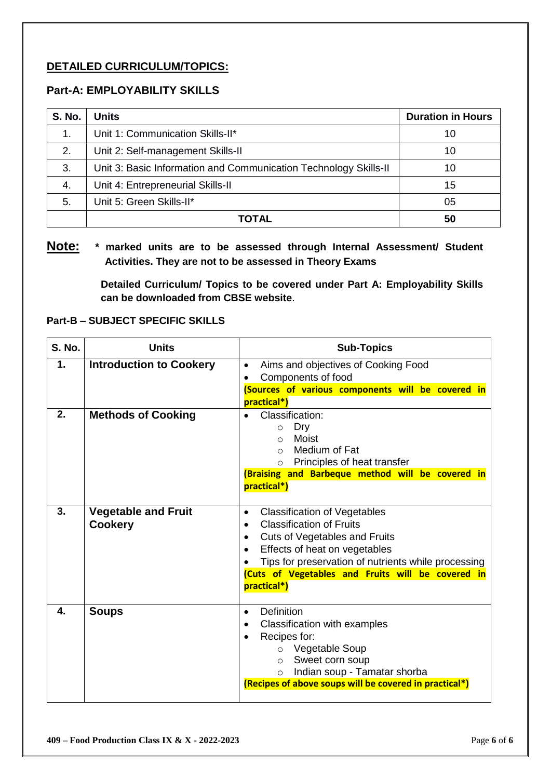### **DETAILED CURRICULUM/TOPICS:**

### **Part-A: EMPLOYABILITY SKILLS**

| <b>S. No.</b> | <b>Units</b>                                                     | <b>Duration in Hours</b> |
|---------------|------------------------------------------------------------------|--------------------------|
| 1.            | Unit 1: Communication Skills-II*                                 | 10                       |
| 2.            | Unit 2: Self-management Skills-II                                | 10                       |
| 3.            | Unit 3: Basic Information and Communication Technology Skills-II | 10                       |
| 4.            | Unit 4: Entrepreneurial Skills-II                                | 15                       |
| 5.            | Unit 5: Green Skills-II*                                         | 05                       |
|               | TOTAL                                                            | 50                       |

### **Note: \* marked units are to be assessed through Internal Assessment/ Student Activities. They are not to be assessed in Theory Exams**

**Detailed Curriculum/ Topics to be covered under Part A: Employability Skills can be downloaded from CBSE website**.

### **Part-B – SUBJECT SPECIFIC SKILLS**

| <b>S. No.</b> | <b>Units</b>                                 | <b>Sub-Topics</b>                                                                                                                                                                                                                                                                                    |  |  |
|---------------|----------------------------------------------|------------------------------------------------------------------------------------------------------------------------------------------------------------------------------------------------------------------------------------------------------------------------------------------------------|--|--|
| 1.            | <b>Introduction to Cookery</b>               | Aims and objectives of Cooking Food<br>$\bullet$<br>Components of food<br>(Sources of various components will be covered in<br>practical*)                                                                                                                                                           |  |  |
| 2.            | <b>Methods of Cooking</b>                    | Classification:<br>Dry<br>$\circ$<br>Moist<br>$\Omega$<br>Medium of Fat<br>$\Omega$<br>Principles of heat transfer<br>$\circ$<br>(Braising and Barbeque method will be covered in<br>practical*)                                                                                                     |  |  |
| 3.            | <b>Vegetable and Fruit</b><br><b>Cookery</b> | <b>Classification of Vegetables</b><br>$\bullet$<br><b>Classification of Fruits</b><br>$\bullet$<br><b>Cuts of Vegetables and Fruits</b><br>Effects of heat on vegetables<br>Tips for preservation of nutrients while processing<br>(Cuts of Vegetables and Fruits will be covered in<br>practical*) |  |  |
| 4.            | <b>Soups</b>                                 | <b>Definition</b><br>$\bullet$<br>Classification with examples<br>Recipes for:<br>$\bullet$<br>Vegetable Soup<br>$\circ$<br>Sweet corn soup<br>$\circ$<br>Indian soup - Tamatar shorba<br>$\circ$<br>(Recipes of above soups will be covered in practical*)                                          |  |  |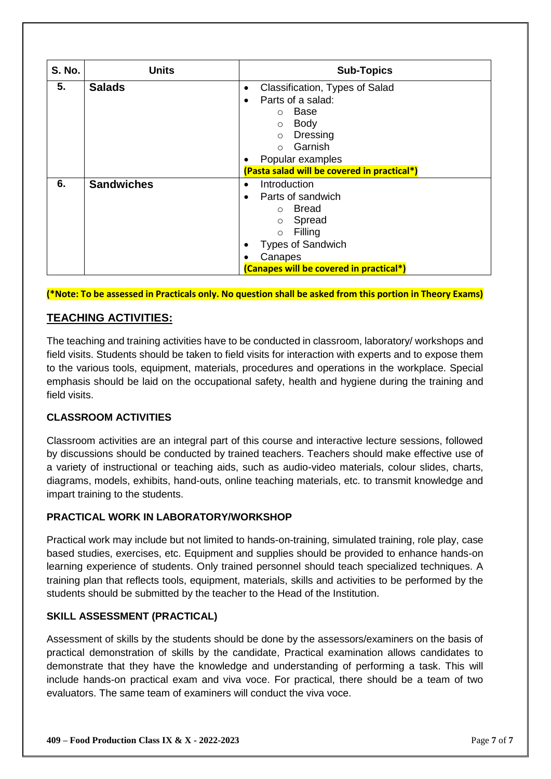| <b>S. No.</b> | <b>Units</b>      | <b>Sub-Topics</b>                                                                                                                                                                                            |
|---------------|-------------------|--------------------------------------------------------------------------------------------------------------------------------------------------------------------------------------------------------------|
| 5.            | <b>Salads</b>     | Classification, Types of Salad<br>$\bullet$<br>Parts of a salad:<br>٠<br>Base<br>$\circ$<br>Body<br>$\circ$<br>Dressing<br>$\circ$<br>Garnish<br>$\bigcap$                                                   |
|               |                   | Popular examples<br>(Pasta salad will be covered in practical*)                                                                                                                                              |
| 6.            | <b>Sandwiches</b> | Introduction<br>$\bullet$<br>Parts of sandwich<br>$\bullet$<br>Bread<br>$\circ$<br>Spread<br>$\circ$<br>Filling<br>$\circ$<br><b>Types of Sandwich</b><br>Canapes<br>(Canapes will be covered in practical*) |

**(\*Note: To be assessed in Practicals only. No question shall be asked from this portion in Theory Exams)**

### **TEACHING ACTIVITIES:**

The teaching and training activities have to be conducted in classroom, laboratory/ workshops and field visits. Students should be taken to field visits for interaction with experts and to expose them to the various tools, equipment, materials, procedures and operations in the workplace. Special emphasis should be laid on the occupational safety, health and hygiene during the training and field visits.

### **CLASSROOM ACTIVITIES**

Classroom activities are an integral part of this course and interactive lecture sessions, followed by discussions should be conducted by trained teachers. Teachers should make effective use of a variety of instructional or teaching aids, such as audio-video materials, colour slides, charts, diagrams, models, exhibits, hand-outs, online teaching materials, etc. to transmit knowledge and impart training to the students.

### **PRACTICAL WORK IN LABORATORY/WORKSHOP**

Practical work may include but not limited to hands-on-training, simulated training, role play, case based studies, exercises, etc. Equipment and supplies should be provided to enhance hands-on learning experience of students. Only trained personnel should teach specialized techniques. A training plan that reflects tools, equipment, materials, skills and activities to be performed by the students should be submitted by the teacher to the Head of the Institution.

### **SKILL ASSESSMENT (PRACTICAL)**

Assessment of skills by the students should be done by the assessors/examiners on the basis of practical demonstration of skills by the candidate, Practical examination allows candidates to demonstrate that they have the knowledge and understanding of performing a task. This will include hands-on practical exam and viva voce. For practical, there should be a team of two evaluators. The same team of examiners will conduct the viva voce.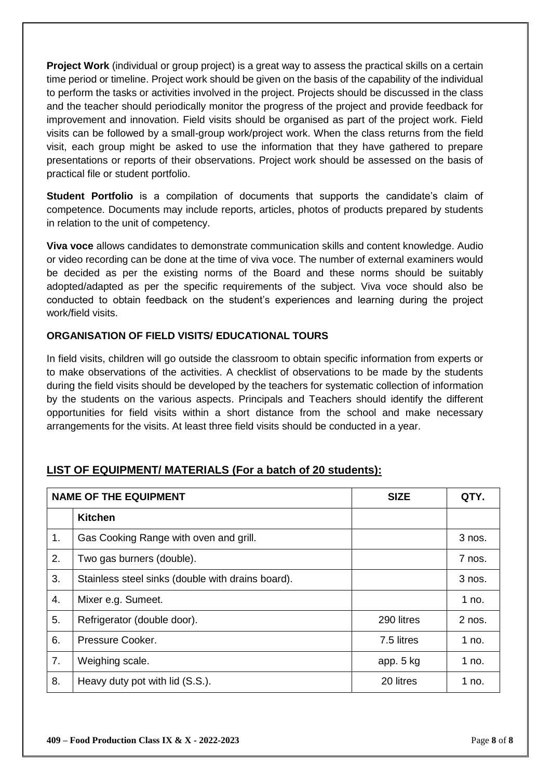**Project Work** (individual or group project) is a great way to assess the practical skills on a certain time period or timeline. Project work should be given on the basis of the capability of the individual to perform the tasks or activities involved in the project. Projects should be discussed in the class and the teacher should periodically monitor the progress of the project and provide feedback for improvement and innovation. Field visits should be organised as part of the project work. Field visits can be followed by a small-group work/project work. When the class returns from the field visit, each group might be asked to use the information that they have gathered to prepare presentations or reports of their observations. Project work should be assessed on the basis of practical file or student portfolio.

**Student Portfolio** is a compilation of documents that supports the candidate's claim of competence. Documents may include reports, articles, photos of products prepared by students in relation to the unit of competency.

**Viva voce** allows candidates to demonstrate communication skills and content knowledge. Audio or video recording can be done at the time of viva voce. The number of external examiners would be decided as per the existing norms of the Board and these norms should be suitably adopted/adapted as per the specific requirements of the subject. Viva voce should also be conducted to obtain feedback on the student's experiences and learning during the project work/field visits.

### **ORGANISATION OF FIELD VISITS/ EDUCATIONAL TOURS**

In field visits, children will go outside the classroom to obtain specific information from experts or to make observations of the activities. A checklist of observations to be made by the students during the field visits should be developed by the teachers for systematic collection of information by the students on the various aspects. Principals and Teachers should identify the different opportunities for field visits within a short distance from the school and make necessary arrangements for the visits. At least three field visits should be conducted in a year.

|    | <b>NAME OF THE EQUIPMENT</b>                      | <b>SIZE</b> | QTY.     |
|----|---------------------------------------------------|-------------|----------|
|    | <b>Kitchen</b>                                    |             |          |
| 1. | Gas Cooking Range with oven and grill.            |             | 3 nos.   |
| 2. | Two gas burners (double).                         |             | 7 nos.   |
| 3. | Stainless steel sinks (double with drains board). |             | 3 nos.   |
| 4. | Mixer e.g. Sumeet.                                |             | 1 no.    |
| 5. | Refrigerator (double door).                       | 290 litres  | $2$ nos. |
| 6. | Pressure Cooker.                                  | 7.5 litres  | 1 no.    |
| 7. | Weighing scale.                                   | app. 5 kg   | 1 no.    |
| 8. | Heavy duty pot with lid (S.S.).                   | 20 litres   | 1 no.    |

### **LIST OF EQUIPMENT/ MATERIALS (For a batch of 20 students):**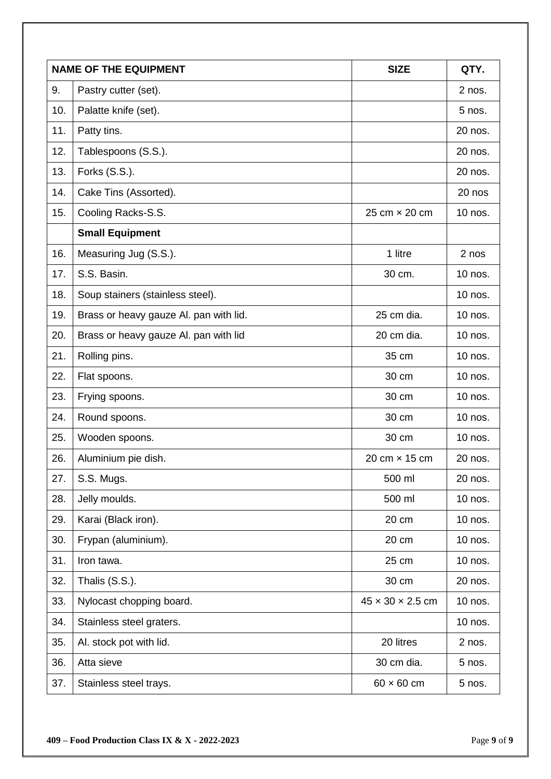|     | <b>NAME OF THE EQUIPMENT</b>           | <b>SIZE</b>                  | QTY.     |
|-----|----------------------------------------|------------------------------|----------|
| 9.  | Pastry cutter (set).                   |                              | $2$ nos. |
| 10. | Palatte knife (set).                   |                              | 5 nos.   |
| 11. | Patty tins.                            |                              | 20 nos.  |
| 12. | Tablespoons (S.S.).                    |                              | 20 nos.  |
| 13. | Forks (S.S.).                          |                              | 20 nos.  |
| 14. | Cake Tins (Assorted).                  |                              | 20 nos   |
| 15. | Cooling Racks-S.S.                     | 25 cm × 20 cm                | 10 nos.  |
|     | <b>Small Equipment</b>                 |                              |          |
| 16. | Measuring Jug (S.S.).                  | 1 litre                      | 2 nos    |
| 17. | S.S. Basin.                            | 30 cm.                       | 10 nos.  |
| 18. | Soup stainers (stainless steel).       |                              | 10 nos.  |
| 19. | Brass or heavy gauze Al. pan with lid. | 25 cm dia.                   | 10 nos.  |
| 20. | Brass or heavy gauze AI. pan with lid  | 20 cm dia.                   | 10 nos.  |
| 21. | Rolling pins.                          | 35 cm                        | 10 nos.  |
| 22. | Flat spoons.                           | 30 cm                        | 10 nos.  |
| 23. | Frying spoons.                         | 30 cm                        | 10 nos.  |
| 24. | Round spoons.                          | 30 cm                        | 10 nos.  |
| 25. | Wooden spoons.                         | 30 cm                        | 10 nos.  |
| 26. | Aluminium pie dish.                    | 20 cm × 15 cm                | 20 nos.  |
| 27. | S.S. Mugs.                             | 500 ml                       | 20 nos.  |
| 28. | Jelly moulds.                          | 500 ml                       | 10 nos.  |
| 29. | Karai (Black iron).                    | 20 cm                        | 10 nos.  |
| 30. | Frypan (aluminium).                    | 20 cm                        | 10 nos.  |
| 31. | Iron tawa.                             | 25 cm                        | 10 nos.  |
| 32. | Thalis (S.S.).                         | 30 cm                        | 20 nos.  |
| 33. | Nylocast chopping board.               | $45 \times 30 \times 2.5$ cm | 10 nos.  |
| 34. | Stainless steel graters.               |                              | 10 nos.  |
| 35. | Al. stock pot with lid.                | 20 litres                    | $2$ nos. |
| 36. | Atta sieve                             | 30 cm dia.                   | 5 nos.   |
| 37. | Stainless steel trays.                 | $60 \times 60$ cm            | $5$ nos. |